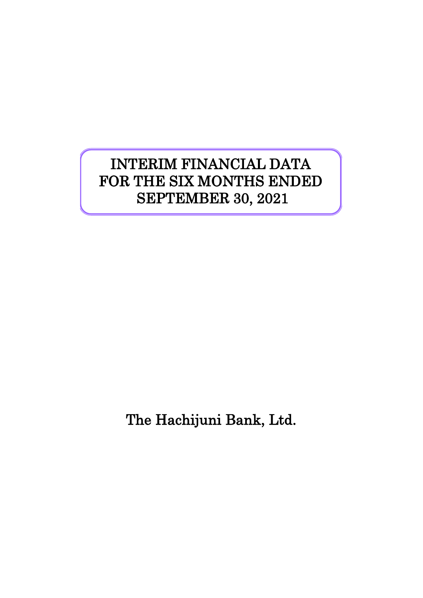# INTERIM FINANCIAL DATA FOR THE SIX MONTHS ENDED SEPTEMBER 30, 2021

The Hachijuni Bank, Ltd.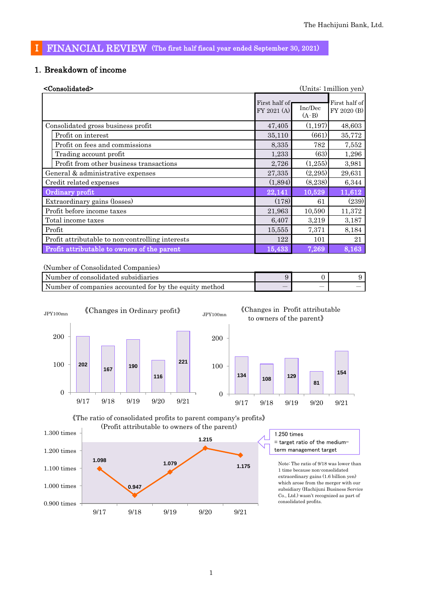### Ⅰ FINANCIAL REVIEW (The first half fiscal year ended September 30, 2021)

### 1.Breakdown of income

| <consolidated></consolidated>                    |                              |                    | (Units: 1 million yen)       |
|--------------------------------------------------|------------------------------|--------------------|------------------------------|
|                                                  | First half of<br>FY 2021 (A) | Inc/Dec<br>$(A-B)$ | First half of<br>FY 2020 (B) |
| Consolidated gross business profit               | 47,405                       | (1,197)            | 48,603                       |
| Profit on interest                               | 35,110                       | (661)              | 35,772                       |
| Profit on fees and commissions                   | 8,335                        | 782                | 7,552                        |
| Trading account profit                           | 1,233                        | (63)               | 1,296                        |
| Profit from other business transactions          | 2,726                        | (1,255)            | 3,981                        |
| General & administrative expenses                | 27,335                       | (2,295)            | 29,631                       |
| Credit related expenses                          | (1,894)                      | (8,238)            | 6,344                        |
| Ordinary profit                                  | 22,141                       | 10,529             | 11,612                       |
| Extraordinary gains (losses)                     | (178)                        | 61                 | (239)                        |
| Profit before income taxes                       | 21,963                       | 10,590             | 11,372                       |
| Total income taxes                               | 6,407                        | 3,219              | 3,187                        |
| Profit                                           | 15,555                       | 7,371              | 8,184                        |
| Profit attributable to non-controlling interests | 122                          | 101                | 21                           |
| Profit attributable to owners of the parent      | 15,433                       | 7,269              | 8,163                        |

(Number of Consolidated Companies)

| Number of consolidated subsidiaries                    |                          |   |  |
|--------------------------------------------------------|--------------------------|---|--|
| Number of companies accounted for by the equity method | $\overline{\phantom{a}}$ | _ |  |





1.250 times = target ratio of the mediumterm management target

Note: The ratio of 9/18 was lower than 1 time because non-consolidated extraordinary gains (1.6 billion yen) which arose from the merger with our subsidiary (Hachijuni Business Service Co., Ltd.) wasn't recognized as part of consolidated profits.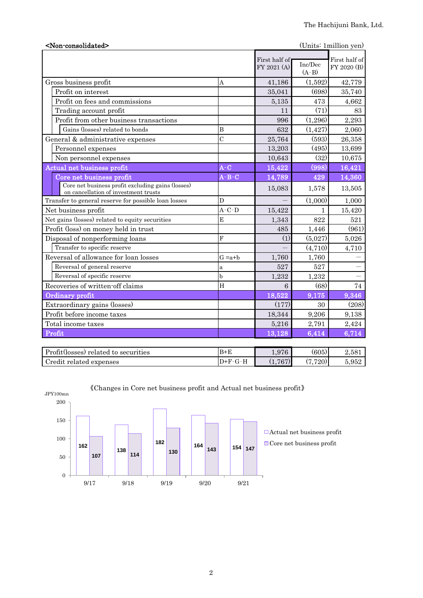| <non-consolidated></non-consolidated>                                                     |                |                              |                    | (Units: 1 million yen)       |
|-------------------------------------------------------------------------------------------|----------------|------------------------------|--------------------|------------------------------|
|                                                                                           |                | First half of<br>FY 2021 (A) | Inc/Dec<br>$(A-B)$ | First half of<br>FY 2020 (B) |
| Gross business profit                                                                     | A              | 41,186                       | (1,592)            | 42,779                       |
| Profit on interest                                                                        |                | 35,041                       | (698)              | 35,740                       |
| Profit on fees and commissions                                                            |                | 5,135                        | 473                | 4,662                        |
| Trading account profit                                                                    |                | 11                           | (71)               | 83                           |
| Profit from other business transactions                                                   |                | 996                          | (1,296)            | 2,293                        |
| Gains (losses) related to bonds                                                           | B              | 632                          | (1, 427)           | 2,060                        |
| General & administrative expenses                                                         | $\mathcal{C}$  | 25,764                       | (593)              | 26,358                       |
| Personnel expenses                                                                        |                | 13,203                       | (495)              | 13,699                       |
| Non personnel expenses                                                                    |                | 10,643                       | (32)               | 10,675                       |
| <b>Actual net business profit</b>                                                         | $A-C$          | 15,422                       | (998)              | 16,421                       |
| Core net business profit                                                                  | $A-B-C$        | 14,789                       | 429                | 14,360                       |
| Core net business profit excluding gains (losses)<br>on cancellation of investment trusts |                | 15,083                       | 1,578              | 13,505                       |
| Transfer to general reserve for possible loan losses                                      | D              |                              | (1,000)            | 1,000                        |
| Net business profit                                                                       | $A-C-D$        | 15,422                       | $\mathbf{1}$       | 15,420                       |
| Net gains (losses) related to equity securities                                           | E              | 1,343                        | 822                | 521                          |
| Profit (loss) on money held in trust                                                      |                | 485                          | 1,446              | (961)                        |
| Disposal of nonperforming loans                                                           | $\overline{F}$ | (1)                          | (5,027)            | 5,026                        |
| Transfer to specific reserve                                                              |                |                              | (4,710)            | 4,710                        |
| Reversal of allowance for loan losses                                                     | $G = a + b$    | 1,760                        | 1,760              |                              |
| Reversal of general reserve                                                               | a              | 527                          | 527                |                              |
| Reversal of specific reserve                                                              | $\mathbf b$    | 1,232                        | 1,232              |                              |
| Recoveries of written-off claims                                                          | H              | 6                            | (68)               | 74                           |
| Ordinary profit                                                                           |                | 18,522                       | 9,175              | 9,346                        |
| Extraordinary gains (losses)                                                              |                | (177)                        | 30                 | (208)                        |
| Profit before income taxes                                                                |                | 18,344                       | 9,206              | 9,138                        |
| Total income taxes                                                                        |                | 5,216                        | 2,791              | 2,424                        |
| Profit                                                                                    |                | 13,128                       | 6,414              | 6,714                        |
| Profit(losses) related to securities                                                      | $B + E$        | 1,976                        | (605)              | 2,581                        |
| Credit related expenses                                                                   | $D+F-G-H$      | (1,767)                      | (7, 720)           | 5,952                        |



9/17 9/18 9/19 9/20 9/21

《Changes in Core net business profit and Actual net business profit》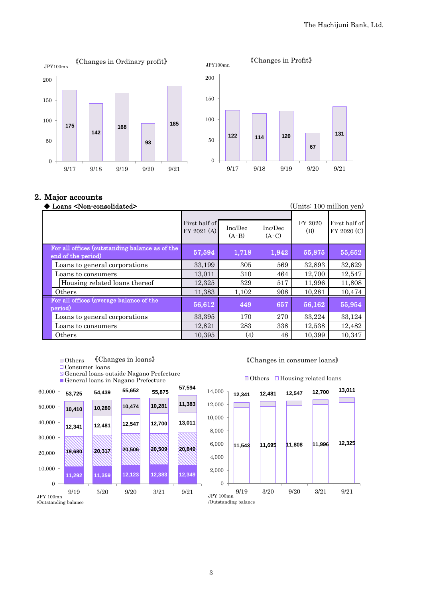



#### 2.Major accounts

| Loans <non-consolidated></non-consolidated>                          |                              |                    |                    |                | (Units: 100 million yen)     |
|----------------------------------------------------------------------|------------------------------|--------------------|--------------------|----------------|------------------------------|
|                                                                      | First half of<br>FY 2021 (A) | Inc/Dec<br>$(A-B)$ | Inc/Dec<br>$(A-C)$ | FY 2020<br>(B) | First half of<br>FY 2020 (C) |
| For all offices (outstanding balance as of the<br>end of the period) | 57,594                       | 1,718              | 1,942              | 55,875         | 55,652                       |
| Loans to general corporations                                        | 33,199                       | 305                | 569                | 32,893         | 32,629                       |
| Loans to consumers                                                   | 13,011                       | 310                | 464                | 12,700         | 12,547                       |
| Housing related loans thereof                                        | 12,325                       | 329                | 517                | 11,996         | 11,808                       |
| Others                                                               | 11,383                       | 1,102              | 908                | 10,281         | 10,474                       |
| For all offices (average balance of the<br>period)                   | 56,612                       | 449                | 657                | 56,162         | 55,954                       |
| Loans to general corporations                                        | 33,395                       | 170                | 270                | 33,224         | 33,124                       |
| Loans to consumers                                                   | 12,821                       | 283                | 338                | 12,538         | 12,482                       |
| Others                                                               | 10,395                       | $\left( 4\right)$  | 48                 | 10,399         | 10,347                       |

- ■Others 《Changes in loans》
- Consumer loans
- General loans outside Nagano Prefecture
- General loans in Nagano Prefecture



#### 《Changes in consumer loans》



#### $\Box$  Others  $\Box$  Housing related loans

3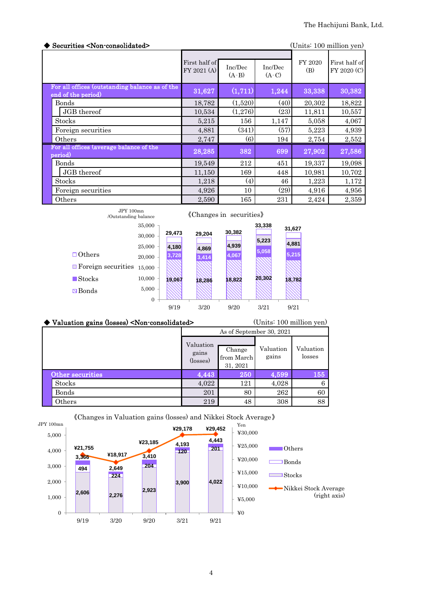| Securities <non-consolidated></non-consolidated>                     |                              |                    |                    |                | (Units: 100 million yen)     |
|----------------------------------------------------------------------|------------------------------|--------------------|--------------------|----------------|------------------------------|
|                                                                      | First half of<br>FY 2021 (A) | Inc/Dec<br>$(A-B)$ | Inc/Dec<br>$(A-C)$ | FY 2020<br>(B) | First half of<br>FY 2020 (C) |
| For all offices (outstanding balance as of the<br>end of the period) | 31,627                       | (1,711)            | 1,244              | 33,338         | 30,382                       |
| Bonds                                                                | 18,782                       | (1,520)            | (40)               | 20,302         | 18,822                       |
| JGB thereof                                                          | 10,534                       | (1,276)            | (23)               | 11,811         | 10,557                       |
| <b>Stocks</b>                                                        | 5,215                        | 156                | 1,147              | 5,058          | 4,067                        |
| Foreign securities                                                   | 4,881                        | (341)              | (57)               | 5,223          | 4,939                        |
| Others                                                               | 2,747                        | (6)                | 194                | 2,754          | 2,552                        |
| For all offices (average balance of the<br>period)                   | 28,285                       | 382                | 699                | 27,902         | 27,586                       |
| <b>Bonds</b>                                                         | 19,549                       | 212                | 451                | 19,337         | 19,098                       |
| JGB thereof                                                          | 11,150                       | 169                | 448                | 10,981         | 10,702                       |
| <b>Stocks</b>                                                        | 1,218                        | (4)                | 46                 | 1,223          | 1,172                        |
| Foreign securities                                                   | 4,926                        | 10                 | (29)               | 4,916          | 4,956                        |
| Others                                                               | 2,590                        | 165                | 231                | 2,424          | 2,359                        |



#### ◆ Valuation gains (losses) <Non-consolidated> (Units: 100 million yen) As of September 30, 2021 Change from March 31, 2021 Other securities 155 Stocks 6 4,022 121 4,028 6 Bonds 201 80 262 60 Others 219 48 308 88 Valuation gains (losses) Valuation gains Valuation losses



《Changes in Valuation gains (losses) and Nikkei Stock Average》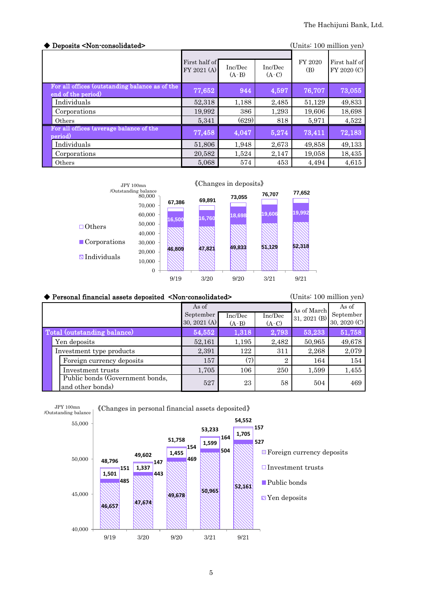| Deposits <non-consolidated><br/>(Units: 100 million yen)</non-consolidated> |                              |                    |                    |                |                              |
|-----------------------------------------------------------------------------|------------------------------|--------------------|--------------------|----------------|------------------------------|
|                                                                             | First half of<br>FY 2021 (A) | Inc/Dec<br>$(A-B)$ | Inc/Dec<br>$(A-C)$ | FY 2020<br>(B) | First half of<br>FY 2020 (C) |
| For all offices (outstanding balance as of the<br>end of the period)        | 77,652                       | 944                | 4,597              | 76,707         | 73,055                       |
| Individuals                                                                 | 52,318                       | 1,188              | 2,485              | 51,129         | 49,833                       |
| Corporations                                                                | 19,992                       | 386                | 1,293              | 19,606         | 18,698                       |
| Others                                                                      | 5,341                        | (629)              | 818                | 5,971          | 4,522                        |
| For all offices (average balance of the<br>period)                          | 77,458                       | 4,047              | 5,274              | 73,411         | 72,183                       |
| Individuals                                                                 | 51,806                       | 1,948              | 2,673              | 49,858         | 49,133                       |
| Corporations                                                                | 20,582                       | 1,524              | 2,147              | 19,058         | 18,435                       |
| Others                                                                      | 5,068                        | 574                | 453                | 4.494          | 4,615                        |



## ◆ Personal financial assets deposited <Non-consolidated>
(Units: 100 million yen)

| As of                                               |                           |                    |                    | As of March  | As of                     |
|-----------------------------------------------------|---------------------------|--------------------|--------------------|--------------|---------------------------|
|                                                     | September<br>30, 2021 (A) | Inc/Dec<br>$(A-B)$ | Inc/Dec<br>$(A-C)$ | 31, 2021 (B) | September<br>30, 2020 (C) |
| Total (outstanding balance)                         | 54,552                    | 1,318              | 2,793              | 53,233       | 51,758                    |
| Yen deposits                                        | 52,161                    | 1,195              | 2,482              | 50,965       | 49,678                    |
| Investment type products                            | 2,391                     | 122                | 311                | 2,268        | 2,079                     |
| Foreign currency deposits                           | 157                       | (7)                | $\overline{2}$     | 164          | 154                       |
| Investment trusts                                   | 1,705                     | 106                | 250                | 1,599        | 1,455                     |
| Public bonds (Government bonds,<br>and other bonds) | 527                       | 23                 | 58                 | 504          | 469                       |

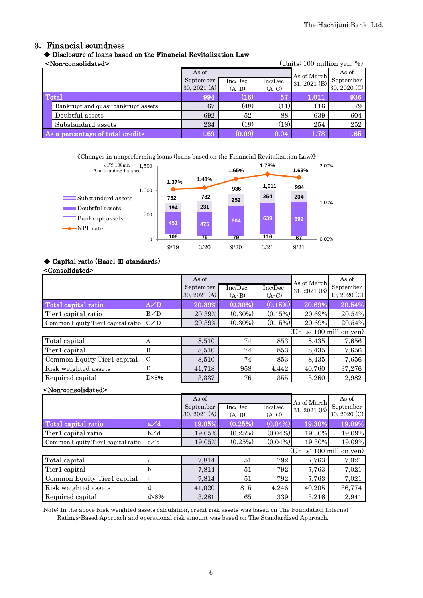#### 3. Financial soundness

## ◆ Disclosure of loans based on the Financial Revitalization Law

| <non-consolidated></non-consolidated> |              |         |         | (Units: 100 million yen, $\%$ ) |              |
|---------------------------------------|--------------|---------|---------|---------------------------------|--------------|
|                                       | As of        |         |         | As of March                     | As of        |
|                                       | September    | Inc/Dec | Inc/Dec | 31, 2021 (B)                    | September    |
|                                       | 30, 2021 (A) | $(A-B)$ | $(A-C)$ |                                 | 30, 2020 (C) |
| Total                                 | 994          | (16)    | 57      | 1,011                           | 936          |
| Bankrupt and quasi-bankrupt assets    | 67           | (48)    | (11)    | 116                             | 79           |
| Doubtful assets                       | 692          | 52      | 88      | 639                             | 604          |
| Substandard assets                    | 234          | (19)    | (18)    | 254                             | 252          |
| As a percentage of total credits      | 1.69         | (0.09)  | 0.04    | 1.78                            | 1.65         |

《Changes in nonperforming loans (loans based on the Financial Revitalization Law)》



#### ◆ Capital ratio (Basel Ⅲ standards) <Consolidated>

|                                           |                | As of<br>September<br>30, 2021 (A) | Inc/Dec<br>$(A-B)$ | Inc/Dec<br>$(A-C)$       | As of March<br>$31, 2021$ (B) | As of<br>September<br>30, 2020 (C) |
|-------------------------------------------|----------------|------------------------------------|--------------------|--------------------------|-------------------------------|------------------------------------|
| Total capital ratio                       | A/D            | 20.39%                             | $(0.30\%)$         | (0.15%)                  | 20.69%                        | 20.54%                             |
| Tier1 capital ratio                       | B/D            | 20.39%                             | $(0.30\%)$         | $(0.15\%)$               | 20.69%                        | 20.54%                             |
| Common Equity Tier1 capital ratio $ C/D $ |                | 20.39%                             | $(0.30\%)$         | (0.15%)                  | 20.69%                        | 20.54%                             |
|                                           |                |                                    |                    | (Units: 100 million yen) |                               |                                    |
| Total capital                             | А              | 8,510                              | 74                 | 853                      | 8,435                         | 7,656                              |
| Tier1 capital                             | B              | 8,510                              | 74                 | 853                      | 8,435                         | 7,656                              |
| Common Equity Tier1 capital               | IС             | 8,510                              | 74                 | 853                      | 8,435                         | 7,656                              |
| Risk weighted assets                      | D              | 41,718                             | 958                | 4,442                    | 40,760                        | 37,276                             |
| Required capital                          | $D \times 8\%$ | 3,337                              | 76                 | 355                      | 3,260                         | 2,982                              |

#### <Non-consolidated>

|                                   |                | As of<br>September<br>30, 2021 $(A)$ | $\overline{\text{Inc}/\text{Dec}}$<br>$(A-B)$ | Inc/Dec<br>$(A-C)$ | As of March<br>31, 2021 (B) | As of<br>September<br>30, 2020 (C) |
|-----------------------------------|----------------|--------------------------------------|-----------------------------------------------|--------------------|-----------------------------|------------------------------------|
| Total capital ratio               | a/d            | 19.05%                               | (0.25%)                                       | $(0.04\%)$         | 19.30%                      | 19.09%                             |
| Tier1 capital ratio               | b∕d            | 19.05%                               | (0.25%)                                       | $(0.04\%)$         | 19.30%                      | 19.09%                             |
| Common Equity Tier1 capital ratio | c/d            | 19.05%                               | (0.25%)                                       | $(0.04\%)$         | 19.30%                      | 19.09%                             |
|                                   |                |                                      |                                               |                    | (Units: 100 million yen)    |                                    |
| Total capital                     | a              | 7,814                                | 51                                            | 792                | 7,763                       | 7,021                              |
| Tier1 capital                     | b              | 7,814                                | 51                                            | 792                | 7,763                       | 7,021                              |
| Common Equity Tier1 capital       | c              | 7,814                                | 51                                            | 792                | 7,763                       | 7,021                              |
| Risk weighted assets              | d              | 41,020                               | 815                                           | 4,246              | 40,205                      | 36,774                             |
| Required capital                  | $d \times 8\%$ | 3,281                                | 65                                            | 339                | 3,216                       | 2,941                              |

Note: In the above Risk weighted assets calculation, credit risk assets was based on The Foundation Internal Ratings-Based Approach and operational risk amount was based on The Standardized Approach.